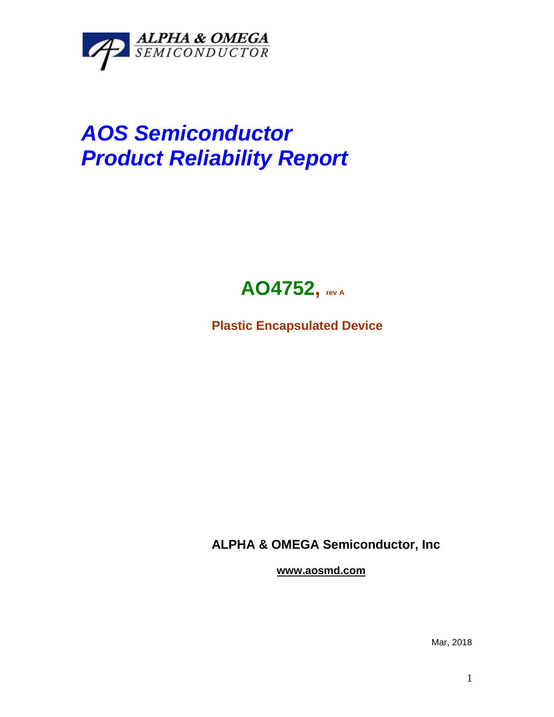

## *AOS Semiconductor Product Reliability Report*



**Plastic Encapsulated Device**

**ALPHA & OMEGA Semiconductor, Inc**

**www.aosmd.com**

Mar, 2018